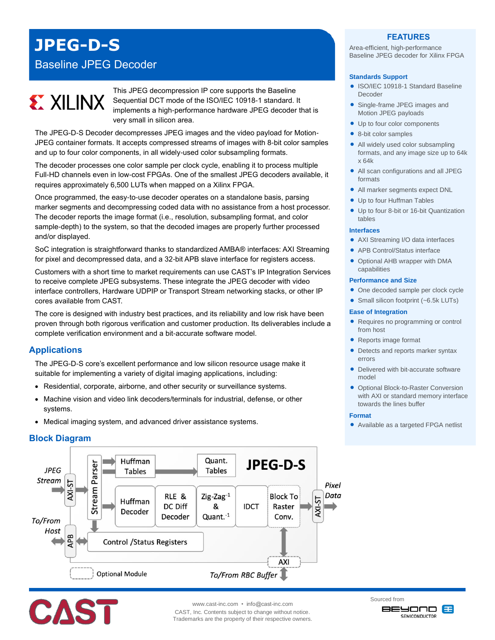## **JPEG-D-S**

### Baseline JPEG Decoder

# **EX XILINX**

This JPEG decompression IP core supports the Baseline Sequential DCT mode of the ISO/IEC 10918-1 standard. It implements a high-performance hardware JPEG decoder that is very small in silicon area.

The JPEG-D-S Decoder decompresses JPEG images and the video payload for Motion-JPEG container formats. It accepts compressed streams of images with 8-bit color samples and up to four color components, in all widely-used color subsampling formats.

The decoder processes one color sample per clock cycle, enabling it to process multiple Full-HD channels even in low-cost FPGAs. One of the smallest JPEG decoders available, it requires approximately 6,500 LUTs when mapped on a Xilinx FPGA.

Once programmed, the easy-to-use decoder operates on a standalone basis, parsing marker segments and decompressing coded data with no assistance from a host processor. The decoder reports the image format (i.e., resolution, subsampling format, and color sample-depth) to the system, so that the decoded images are properly further processed and/or displayed.

SoC integration is straightforward thanks to standardized AMBA® interfaces: AXI Streaming for pixel and decompressed data, and a 32-bit APB slave interface for registers access.

Customers with a short time to market requirements can use CAST's IP Integration Services to receive complete JPEG subsystems. These integrate the JPEG decoder with video interface controllers, Hardware UDPIP or Transport Stream networking stacks, or other IP cores available from CAST.

The core is designed with industry best practices, and its reliability and low risk have been proven through both rigorous verification and customer production. Its deliverables include a complete verification environment and a bit-accurate software model.

#### **Applications**

The JPEG-D-S core's excellent performance and low silicon resource usage make it suitable for implementing a variety of digital imaging applications, including:

- Residential, corporate, airborne, and other security or surveillance systems.
- Machine vision and video link decoders/terminals for industrial, defense, or other systems.
- Medical imaging system, and advanced driver assistance systems.

#### **Block Diagram**



**FEATURES** Area-efficient, high-performance Baseline JPEG decoder for Xilinx FPGA

#### **Standards Support**

- ISO/IEC 10918-1 Standard Baseline Decoder
- Single-frame JPEG images and Motion JPEG payloads
- Up to four color components
- 8-bit color samples
- All widely used color subsampling formats, and any image size up to 64k x 64k
- All scan configurations and all JPEG formats
- All marker segments expect DNL
- Up to four Huffman Tables
- Up to four 8-bit or 16-bit Quantization tables

#### **Interfaces**

- AXI Streaming I/O data interfaces
	- APB Control/Status interface
	- Optional AHB wrapper with DMA capabilities

#### **Performance and Size**

- One decoded sample per clock cycle
- Small silicon footprint (~6.5k LUTs)

#### **Ease of Integration**

- Requires no programming or control from host
- Reports image format
- Detects and reports marker syntax errors
- Delivered with bit-accurate software model
- **Optional Block-to-Raster Conversion** with AXI or standard memory interface towards the lines buffer

#### **Format**

Available as a targeted FPGA netlist



www.cast-inc.com • info@cast-inc.com CAST, Inc. Contents subject to change without notice. Trademarks are the property of their respective owners. Sourced from **BEYOND** B SEMICONDUCTOR